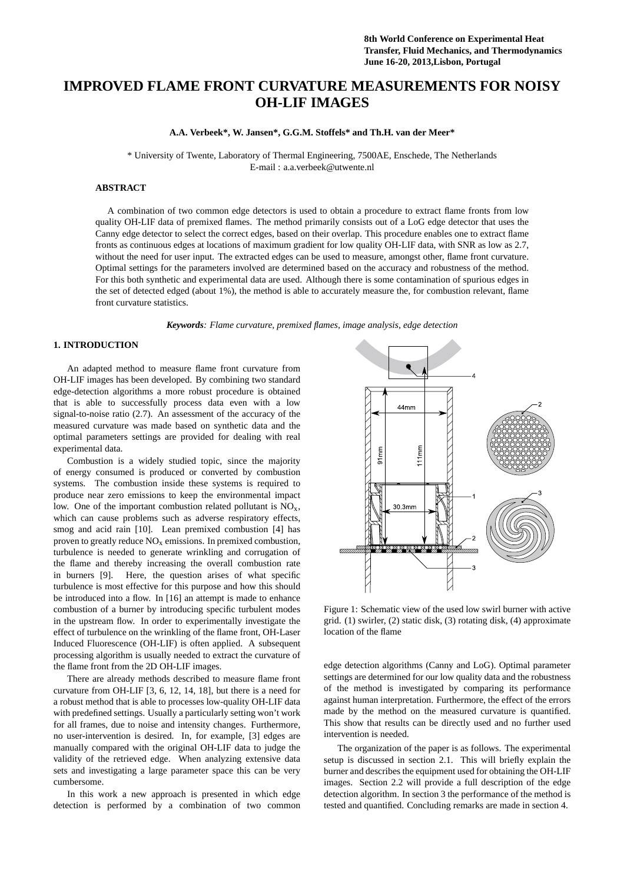# **IMPROVED FLAME FRONT CURVATURE MEASUREMENTS FOR NOISY OH-LIF IMAGES**

**A.A. Verbeek\*, W. Jansen\*, G.G.M. Stoffels\* and Th.H. van der Meer\***

\* University of Twente, Laboratory of Thermal Engineering, 7500AE, Enschede, The Netherlands E-mail : a.a.verbeek@utwente.nl

# **ABSTRACT**

A combination of two common edge detectors is used to obtain a procedure to extract flame fronts from low quality OH-LIF data of premixed flames. The method primarily consists out of a LoG edge detector that uses the Canny edge detector to select the correct edges, based on their overlap. This procedure enables one to extract flame fronts as continuous edges at locations of maximum gradient for low quality OH-LIF data, with SNR as low as 2.7, without the need for user input. The extracted edges can be used to measure, amongst other, flame front curvature. Optimal settings for the parameters involved are determined based on the accuracy and robustness of the method. For this both synthetic and experimental data are used. Although there is some contamination of spurious edges in the set of detected edged (about 1%), the method is able to accurately measure the, for combustion relevant, flame front curvature statistics.

*Keywords: Flame curvature, premixed flames, image analysis, edge detection*

# **1. INTRODUCTION**

An adapted method to measure flame front curvature from OH-LIF images has been developed. By combining two standard edge-detection algorithms a more robust procedure is obtained that is able to successfully process data even with a low signal-to-noise ratio (2.7). An assessment of the accuracy of the measured curvature was made based on synthetic data and the optimal parameters settings are provided for dealing with real experimental data.

Combustion is a widely studied topic, since the majority of energy consumed is produced or converted by combustion systems. The combustion inside these systems is required to produce near zero emissions to keep the environmental impact low. One of the important combustion related pollutant is  $NO<sub>x</sub>$ , which can cause problems such as adverse respiratory effects, smog and acid rain [10]. Lean premixed combustion [4] has proven to greatly reduce  $NO<sub>x</sub>$  emissions. In premixed combustion, turbulence is needed to generate wrinkling and corrugation of the flame and thereby increasing the overall combustion rate in burners [9]. Here, the question arises of what specific turbulence is most effective for this purpose and how this should be introduced into a flow. In [16] an attempt is made to enhance combustion of a burner by introducing specific turbulent modes in the upstream flow. In order to experimentally investigate the effect of turbulence on the wrinkling of the flame front, OH-Laser Induced Fluorescence (OH-LIF) is often applied. A subsequent processing algorithm is usually needed to extract the curvature of the flame front from the 2D OH-LIF images.

There are already methods described to measure flame front curvature from OH-LIF [3, 6, 12, 14, 18], but there is a need for a robust method that is able to processes low-quality OH-LIF data with predefined settings. Usually a particularly setting won't work for all frames, due to noise and intensity changes. Furthermore, no user-intervention is desired. In, for example, [3] edges are manually compared with the original OH-LIF data to judge the validity of the retrieved edge. When analyzing extensive data sets and investigating a large parameter space this can be very cumbersome.

In this work a new approach is presented in which edge detection is performed by a combination of two common



Figure 1: Schematic view of the used low swirl burner with active grid. (1) swirler, (2) static disk, (3) rotating disk, (4) approximate location of the flame

edge detection algorithms (Canny and LoG). Optimal parameter settings are determined for our low quality data and the robustness of the method is investigated by comparing its performance against human interpretation. Furthermore, the effect of the errors made by the method on the measured curvature is quantified. This show that results can be directly used and no further used intervention is needed.

The organization of the paper is as follows. The experimental setup is discussed in section 2.1. This will briefly explain the burner and describes the equipment used for obtaining the OH-LIF images. Section 2.2 will provide a full description of the edge detection algorithm. In section 3 the performance of the method is tested and quantified. Concluding remarks are made in section 4.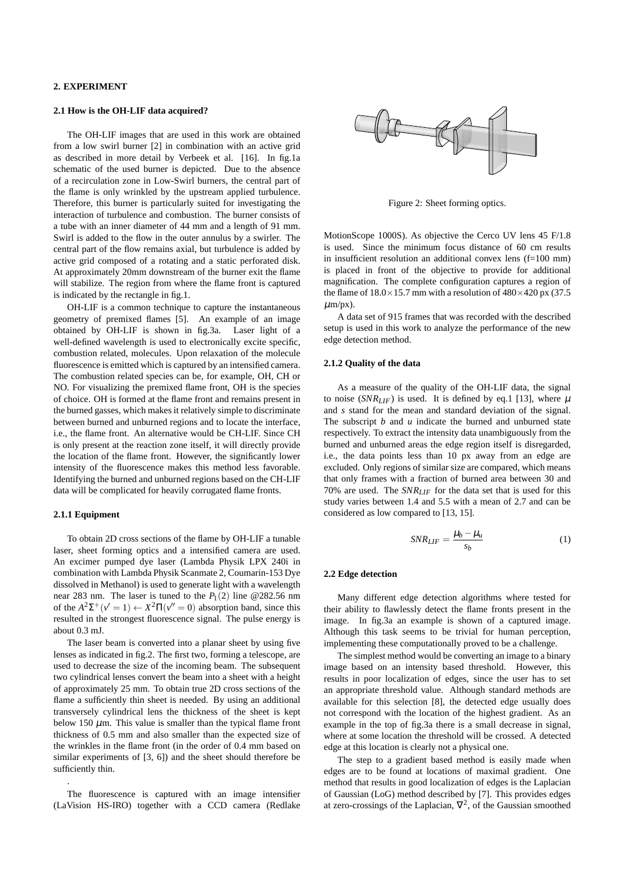# **2. EXPERIMENT**

# **2.1 How is the OH-LIF data acquired?**

The OH-LIF images that are used in this work are obtained from a low swirl burner [2] in combination with an active grid as described in more detail by Verbeek et al. [16]. In fig.1a schematic of the used burner is depicted. Due to the absence of a recirculation zone in Low-Swirl burners, the central part of the flame is only wrinkled by the upstream applied turbulence. Therefore, this burner is particularly suited for investigating the interaction of turbulence and combustion. The burner consists of a tube with an inner diameter of 44 mm and a length of 91 mm. Swirl is added to the flow in the outer annulus by a swirler. The central part of the flow remains axial, but turbulence is added by active grid composed of a rotating and a static perforated disk. At approximately 20mm downstream of the burner exit the flame will stabilize. The region from where the flame front is captured is indicated by the rectangle in fig.1.

OH-LIF is a common technique to capture the instantaneous geometry of premixed flames [5]. An example of an image obtained by OH-LIF is shown in fig.3a. Laser light of a well-defined wavelength is used to electronically excite specific, combustion related, molecules. Upon relaxation of the molecule fluorescence is emitted which is captured by an intensified camera. The combustion related species can be, for example, OH, CH or NO. For visualizing the premixed flame front, OH is the species of choice. OH is formed at the flame front and remains present in the burned gasses, which makes it relatively simple to discriminate between burned and unburned regions and to locate the interface, i.e., the flame front. An alternative would be CH-LIF. Since CH is only present at the reaction zone itself, it will directly provide the location of the flame front. However, the significantly lower intensity of the fluorescence makes this method less favorable. Identifying the burned and unburned regions based on the CH-LIF data will be complicated for heavily corrugated flame fronts.

#### **2.1.1 Equipment**

.

To obtain 2D cross sections of the flame by OH-LIF a tunable laser, sheet forming optics and a intensified camera are used. An excimer pumped dye laser (Lambda Physik LPX 240i in combination with Lambda Physik Scanmate 2, Coumarin-153 Dye dissolved in Methanol) is used to generate light with a wavelength near 283 nm. The laser is tuned to the  $P_1(2)$  line @282.56 nm of the  $A^2\Sigma^+(\nu'=1) \leftarrow X^2\Pi(\nu''=0)$  absorption band, since this resulted in the strongest fluorescence signal. The pulse energy is about 0.3 mJ.

The laser beam is converted into a planar sheet by using five lenses as indicated in fig.2. The first two, forming a telescope, are used to decrease the size of the incoming beam. The subsequent two cylindrical lenses convert the beam into a sheet with a height of approximately 25 mm. To obtain true 2D cross sections of the flame a sufficiently thin sheet is needed. By using an additional transversely cylindrical lens the thickness of the sheet is kept below 150  $\mu$ m. This value is smaller than the typical flame front thickness of 0.5 mm and also smaller than the expected size of the wrinkles in the flame front (in the order of 0.4 mm based on similar experiments of [3, 6]) and the sheet should therefore be sufficiently thin.

The fluorescence is captured with an image intensifier (LaVision HS-IRO) together with a CCD camera (Redlake



Figure 2: Sheet forming optics.

MotionScope 1000S). As objective the Cerco UV lens 45 F/1.8 is used. Since the minimum focus distance of 60 cm results in insufficient resolution an additional convex lens (f=100 mm) is placed in front of the objective to provide for additional magnification. The complete configuration captures a region of the flame of  $18.0 \times 15.7$  mm with a resolution of  $480 \times 420$  px (37.5)  $\mu$ m/px).

A data set of 915 frames that was recorded with the described setup is used in this work to analyze the performance of the new edge detection method.

# **2.1.2 Quality of the data**

As a measure of the quality of the OH-LIF data, the signal to noise (*SNR<sub>LIF</sub>*) is used. It is defined by eq.1 [13], where  $\mu$ and *s* stand for the mean and standard deviation of the signal. The subscript *b* and *u* indicate the burned and unburned state respectively. To extract the intensity data unambiguously from the burned and unburned areas the edge region itself is disregarded, i.e., the data points less than 10 px away from an edge are excluded. Only regions of similar size are compared, which means that only frames with a fraction of burned area between 30 and 70% are used. The *SNRLIF* for the data set that is used for this study varies between 1.4 and 5.5 with a mean of 2.7 and can be considered as low compared to [13, 15].

$$
SNR_{LIF} = \frac{\mu_b - \mu_u}{s_b} \tag{1}
$$

#### **2.2 Edge detection**

Many different edge detection algorithms where tested for their ability to flawlessly detect the flame fronts present in the image. In fig.3a an example is shown of a captured image. Although this task seems to be trivial for human perception, implementing these computationally proved to be a challenge.

The simplest method would be converting an image to a binary image based on an intensity based threshold. However, this results in poor localization of edges, since the user has to set an appropriate threshold value. Although standard methods are available for this selection [8], the detected edge usually does not correspond with the location of the highest gradient. As an example in the top of fig.3a there is a small decrease in signal, where at some location the threshold will be crossed. A detected edge at this location is clearly not a physical one.

The step to a gradient based method is easily made when edges are to be found at locations of maximal gradient. One method that results in good localization of edges is the Laplacian of Gaussian (LoG) method described by [7]. This provides edges at zero-crossings of the Laplacian,  $\nabla^2$ , of the Gaussian smoothed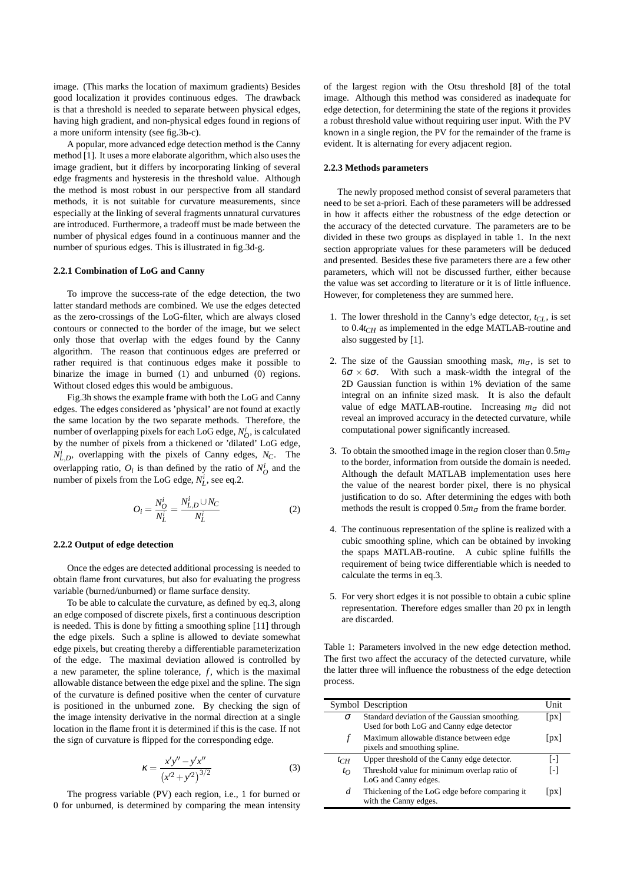image. (This marks the location of maximum gradients) Besides good localization it provides continuous edges. The drawback is that a threshold is needed to separate between physical edges, having high gradient, and non-physical edges found in regions of a more uniform intensity (see fig.3b-c).

A popular, more advanced edge detection method is the Canny method [1]. It uses a more elaborate algorithm, which also uses the image gradient, but it differs by incorporating linking of several edge fragments and hysteresis in the threshold value. Although the method is most robust in our perspective from all standard methods, it is not suitable for curvature measurements, since especially at the linking of several fragments unnatural curvatures are introduced. Furthermore, a tradeoff must be made between the number of physical edges found in a continuous manner and the number of spurious edges. This is illustrated in fig.3d-g.

# **2.2.1 Combination of LoG and Canny**

To improve the success-rate of the edge detection, the two latter standard methods are combined. We use the edges detected as the zero-crossings of the LoG-filter, which are always closed contours or connected to the border of the image, but we select only those that overlap with the edges found by the Canny algorithm. The reason that continuous edges are preferred or rather required is that continuous edges make it possible to binarize the image in burned (1) and unburned (0) regions. Without closed edges this would be ambiguous.

Fig.3h shows the example frame with both the LoG and Canny edges. The edges considered as 'physical' are not found at exactly the same location by the two separate methods. Therefore, the number of overlapping pixels for each LoG edge,  $N_O^i$ , is calculated by the number of pixels from a thickened or 'dilated' LoG edge,  $N_{L,D}^i$ , overlapping with the pixels of Canny edges,  $N_C$ . The overlapping ratio,  $O_i$  is than defined by the ratio of  $N_O^i$  and the number of pixels from the LoG edge,  $N_L^i$ , see eq.2.

$$
O_i = \frac{N_O^i}{N_L^i} = \frac{N_{L,D}^i \cup N_C}{N_L^i}
$$
 (2)

# **2.2.2 Output of edge detection**

Once the edges are detected additional processing is needed to obtain flame front curvatures, but also for evaluating the progress variable (burned/unburned) or flame surface density.

To be able to calculate the curvature, as defined by eq.3, along an edge composed of discrete pixels, first a continuous description is needed. This is done by fitting a smoothing spline [11] through the edge pixels. Such a spline is allowed to deviate somewhat edge pixels, but creating thereby a differentiable parameterization of the edge. The maximal deviation allowed is controlled by a new parameter, the spline tolerance,  $f$ , which is the maximal allowable distance between the edge pixel and the spline. The sign of the curvature is defined positive when the center of curvature is positioned in the unburned zone. By checking the sign of the image intensity derivative in the normal direction at a single location in the flame front it is determined if this is the case. If not the sign of curvature is flipped for the corresponding edge.

$$
\kappa = \frac{x'y'' - y'x''}{(x'^2 + y'^2)^{3/2}}
$$
 (3)

The progress variable (PV) each region, i.e., 1 for burned or 0 for unburned, is determined by comparing the mean intensity

of the largest region with the Otsu threshold [8] of the total image. Although this method was considered as inadequate for edge detection, for determining the state of the regions it provides a robust threshold value without requiring user input. With the PV known in a single region, the PV for the remainder of the frame is evident. It is alternating for every adjacent region.

# **2.2.3 Methods parameters**

The newly proposed method consist of several parameters that need to be set a-priori. Each of these parameters will be addressed in how it affects either the robustness of the edge detection or the accuracy of the detected curvature. The parameters are to be divided in these two groups as displayed in table 1. In the next section appropriate values for these parameters will be deduced and presented. Besides these five parameters there are a few other parameters, which will not be discussed further, either because the value was set according to literature or it is of little influence. However, for completeness they are summed here.

- 1. The lower threshold in the Canny's edge detector,  $t_{CL}$ , is set to 0.4*tCH* as implemented in the edge MATLAB-routine and also suggested by [1].
- 2. The size of the Gaussian smoothing mask,  $m_{\sigma}$ , is set to  $6\sigma \times 6\sigma$ . With such a mask-width the integral of the 2D Gaussian function is within 1% deviation of the same integral on an infinite sized mask. It is also the default value of edge MATLAB-routine. Increasing  $m_{\sigma}$  did not reveal an improved accuracy in the detected curvature, while computational power significantly increased.
- 3. To obtain the smoothed image in the region closer than  $0.5m<sub>σ</sub>$ to the border, information from outside the domain is needed. Although the default MATLAB implementation uses here the value of the nearest border pixel, there is no physical justification to do so. After determining the edges with both methods the result is cropped  $0.5m<sub>\sigma</sub>$  from the frame border.
- 4. The continuous representation of the spline is realized with a cubic smoothing spline, which can be obtained by invoking the spaps MATLAB-routine. A cubic spline fulfills the requirement of being twice differentiable which is needed to calculate the terms in eq.3.
- 5. For very short edges it is not possible to obtain a cubic spline representation. Therefore edges smaller than 20 px in length are discarded.

Table 1: Parameters involved in the new edge detection method. The first two affect the accuracy of the detected curvature, while the latter three will influence the robustness of the edge detection process.

|          | Symbol Description                                                                         | Unit               |
|----------|--------------------------------------------------------------------------------------------|--------------------|
| σ        | Standard deviation of the Gaussian smoothing.<br>Used for both LoG and Canny edge detector | $\lceil px \rceil$ |
| f        | Maximum allowable distance between edge<br>pixels and smoothing spline.                    | px                 |
| $t_{CH}$ | Upper threshold of the Canny edge detector.                                                | I-l                |
| $t_{O}$  | Threshold value for minimum overlap ratio of<br>LoG and Canny edges.                       | Ŀ1                 |
| d        | Thickening of the LoG edge before comparing it<br>with the Canny edges.                    | px                 |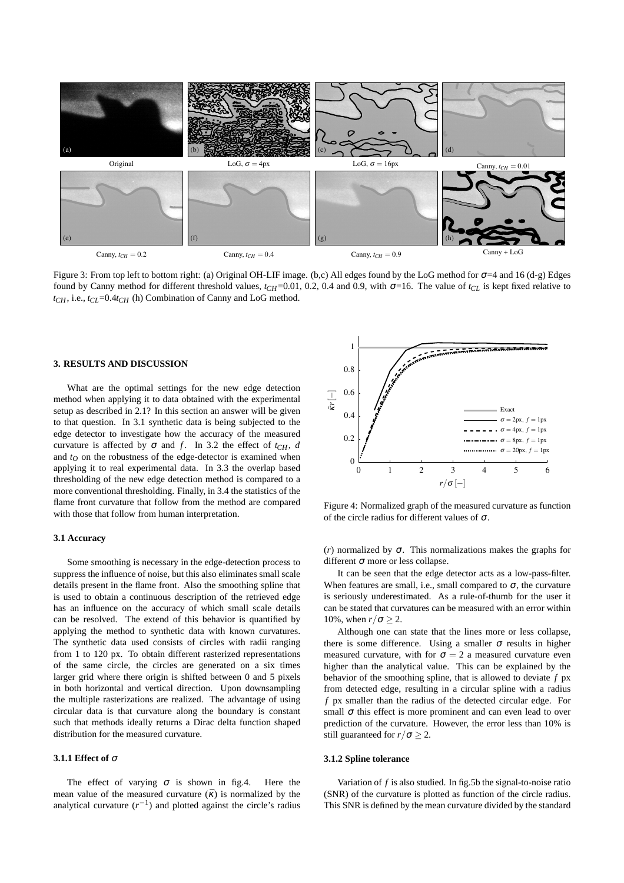

Figure 3: From top left to bottom right: (a) Original OH-LIF image. (b,c) All edges found by the LoG method for <sup>σ</sup>=4 and 16 (d-g) Edges found by Canny method for different threshold values,  $t_{CH}$ =0.01, 0.2, 0.4 and 0.9, with  $\sigma$ =16. The value of  $t_{CL}$  is kept fixed relative to  $t_{CH}$ , i.e.,  $t_{CL}$ =0.4 $t_{CH}$  (h) Combination of Canny and LoG method.

## **3. RESULTS AND DISCUSSION**

What are the optimal settings for the new edge detection method when applying it to data obtained with the experimental setup as described in 2.1? In this section an answer will be given to that question. In 3.1 synthetic data is being subjected to the edge detector to investigate how the accuracy of the measured curvature is affected by  $\sigma$  and *f*. In 3.2 the effect of  $t_{CH}$ , *d* and  $t<sub>O</sub>$  on the robustness of the edge-detector is examined when applying it to real experimental data. In 3.3 the overlap based thresholding of the new edge detection method is compared to a more conventional thresholding. Finally, in 3.4 the statistics of the flame front curvature that follow from the method are compared with those that follow from human interpretation.

#### **3.1 Accuracy**

Some smoothing is necessary in the edge-detection process to suppress the influence of noise, but this also eliminates small scale details present in the flame front. Also the smoothing spline that is used to obtain a continuous description of the retrieved edge has an influence on the accuracy of which small scale details can be resolved. The extend of this behavior is quantified by applying the method to synthetic data with known curvatures. The synthetic data used consists of circles with radii ranging from 1 to 120 px. To obtain different rasterized representations of the same circle, the circles are generated on a six times larger grid where there origin is shifted between 0 and 5 pixels in both horizontal and vertical direction. Upon downsampling the multiple rasterizations are realized. The advantage of using circular data is that curvature along the boundary is constant such that methods ideally returns a Dirac delta function shaped distribution for the measured curvature.

#### **3.1.1 Effect of** <sup>σ</sup>

The effect of varying  $\sigma$  is shown in fig.4. Here the mean value of the measured curvature  $(\bar{k})$  is normalized by the analytical curvature  $(r^{-1})$  and plotted against the circle's radius



Figure 4: Normalized graph of the measured curvature as function of the circle radius for different values of  $\sigma$ .

( $r$ ) normalized by  $\sigma$ . This normalizations makes the graphs for different  $\sigma$  more or less collapse.

It can be seen that the edge detector acts as a low-pass-filter. When features are small, i.e., small compared to  $\sigma$ , the curvature is seriously underestimated. As a rule-of-thumb for the user it can be stated that curvatures can be measured with an error within 10%, when  $r/\sigma \geq 2$ .

Although one can state that the lines more or less collapse, there is some difference. Using a smaller  $\sigma$  results in higher measured curvature, with for  $\sigma = 2$  a measured curvature even higher than the analytical value. This can be explained by the behavior of the smoothing spline, that is allowed to deviate *f* px from detected edge, resulting in a circular spline with a radius *f* px smaller than the radius of the detected circular edge. For small  $\sigma$  this effect is more prominent and can even lead to over prediction of the curvature. However, the error less than 10% is still guaranteed for  $r/\sigma \geq 2$ .

## **3.1.2 Spline tolerance**

Variation of *f* is also studied. In fig.5b the signal-to-noise ratio (SNR) of the curvature is plotted as function of the circle radius. This SNR is defined by the mean curvature divided by the standard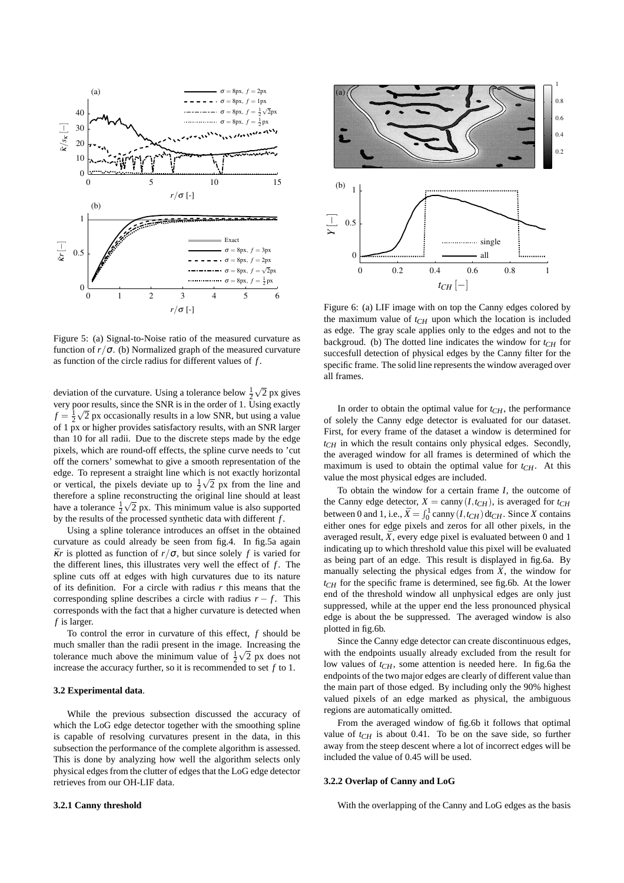

Figure 5: (a) Signal-to-Noise ratio of the measured curvature as function of  $r/\sigma$ . (b) Normalized graph of the measured curvature as function of the circle radius for different values of *f* .

deviation of the curvature. Using a tolerance below  $\frac{1}{2}\sqrt{2}$  px gives very poor results, since the SNR is in the order of 1. Using exactly  $f = \frac{1}{2}\sqrt{2}$  px occasionally results in a low SNR, but using a value of 1 px or higher provides satisfactory results, with an SNR larger than 10 for all radii. Due to the discrete steps made by the edge pixels, which are round-off effects, the spline curve needs to 'cut off the corners' somewhat to give a smooth representation of the edge. To represent a straight line which is not exactly horizontal or vertical, the pixels deviate up to  $\frac{1}{2}\sqrt{2}$  px from the line and therefore a spline reconstructing the original line should at least have a tolerance  $\frac{1}{2}\sqrt{2}$  px. This minimum value is also supported by the results of the processed synthetic data with different *f* .

Using a spline tolerance introduces an offset in the obtained curvature as could already be seen from fig.4. In fig.5a again  $\overline{\kappa}r$  is plotted as function of  $r/\sigma$ , but since solely f is varied for the different lines, this illustrates very well the effect of *f*. The spline cuts off at edges with high curvatures due to its nature of its definition. For a circle with radius *r* this means that the corresponding spline describes a circle with radius  $r - f$ . This corresponds with the fact that a higher curvature is detected when *f* is larger.

To control the error in curvature of this effect, *f* should be much smaller than the radii present in the image. Increasing the tolerance much above the minimum value of  $\frac{1}{2}\sqrt{2}$  px does not increase the accuracy further, so it is recommended to set *f* to 1.

## **3.2 Experimental data**.

While the previous subsection discussed the accuracy of which the LoG edge detector together with the smoothing spline is capable of resolving curvatures present in the data, in this subsection the performance of the complete algorithm is assessed. This is done by analyzing how well the algorithm selects only physical edges from the clutter of edges that the LoG edge detector retrieves from our OH-LIF data.



Figure 6: (a) LIF image with on top the Canny edges colored by the maximum value of *tCH* upon which the location is included as edge. The gray scale applies only to the edges and not to the backgroud. (b) The dotted line indicates the window for  $t_{CH}$  for succesfull detection of physical edges by the Canny filter for the specific frame. The solid line represents the window averaged over all frames.

In order to obtain the optimal value for  $t_{CH}$ , the performance of solely the Canny edge detector is evaluated for our dataset. First, for every frame of the dataset a window is determined for *tCH* in which the result contains only physical edges. Secondly, the averaged window for all frames is determined of which the maximum is used to obtain the optimal value for *tCH*. At this value the most physical edges are included.

To obtain the window for a certain frame *I*, the outcome of the Canny edge detector,  $X = \text{canny}(I, t_{CH})$ , is averaged for  $t_{CH}$ between 0 and 1, i.e.,  $\bar{X} = \int_0^1 \text{canny}(I, t_{CH}) dt_{CH}$ . Since *X* contains either ones for edge pixels and zeros for all other pixels, in the averaged result,  $\bar{X}$ , every edge pixel is evaluated between 0 and 1 indicating up to which threshold value this pixel will be evaluated as being part of an edge. This result is displayed in fig.6a. By manually selecting the physical edges from  $\bar{X}$ , the window for  $t_{CH}$  for the specific frame is determined, see fig.6b. At the lower end of the threshold window all unphysical edges are only just suppressed, while at the upper end the less pronounced physical edge is about the be suppressed. The averaged window is also plotted in fig.6b.

Since the Canny edge detector can create discontinuous edges, with the endpoints usually already excluded from the result for low values of *tCH*, some attention is needed here. In fig.6a the endpoints of the two major edges are clearly of different value than the main part of those edged. By including only the 90% highest valued pixels of an edge marked as physical, the ambiguous regions are automatically omitted.

From the averaged window of fig.6b it follows that optimal value of  $t_{CH}$  is about 0.41. To be on the save side, so further away from the steep descent where a lot of incorrect edges will be included the value of 0.45 will be used.

#### **3.2.2 Overlap of Canny and LoG**

With the overlapping of the Canny and LoG edges as the basis

#### **3.2.1 Canny threshold**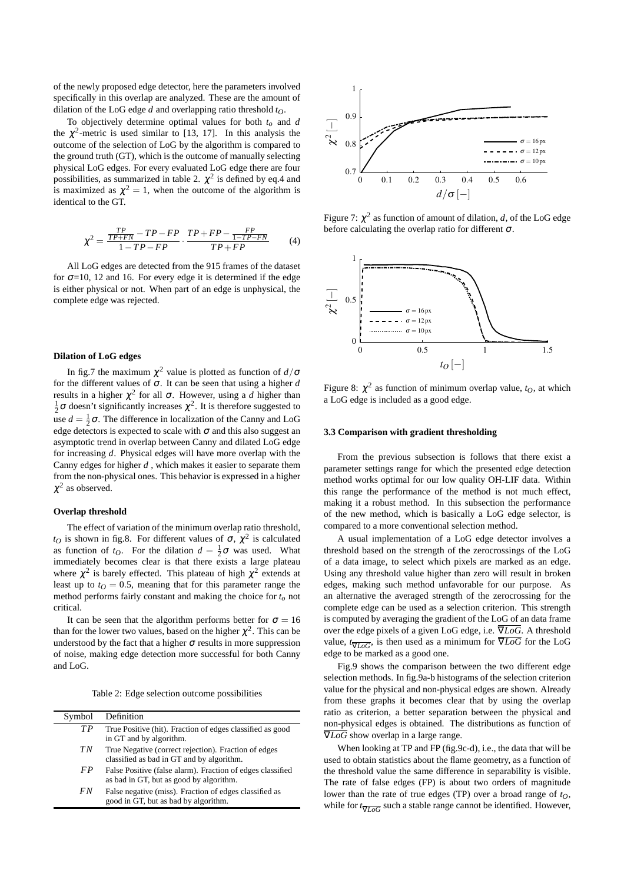of the newly proposed edge detector, here the parameters involved specifically in this overlap are analyzed. These are the amount of dilation of the LoG edge *d* and overlapping ratio threshold *tO*.

To objectively determine optimal values for both *to* and *d* the  $\chi^2$ -metric is used similar to [13, 17]. In this analysis the outcome of the selection of LoG by the algorithm is compared to the ground truth (GT), which is the outcome of manually selecting physical LoG edges. For every evaluated LoG edge there are four possibilities, as summarized in table 2.  $\chi^2$  is defined by eq.4 and is maximized as  $\chi^2 = 1$ , when the outcome of the algorithm is identical to the GT.

$$
\chi^2 = \frac{\frac{TP}{TP+FN} - TP - FP}{1 - TP - FP} \cdot \frac{TP + FP - \frac{FP}{1 - TP - FN}}{TP + FP}
$$
(4)

All LoG edges are detected from the 915 frames of the dataset for  $\sigma$ =10, 12 and 16. For every edge it is determined if the edge is either physical or not. When part of an edge is unphysical, the complete edge was rejected.

#### **Dilation of LoG edges**

In fig.7 the maximum  $\chi^2$  value is plotted as function of  $d/\sigma$ for the different values of  $\sigma$ . It can be seen that using a higher *d* results in a higher  $\chi^2$  for all σ. However, using a *d* higher than  $\frac{1}{2}\sigma$  doesn't significantly increases  $\chi^2$ . It is therefore suggested to use  $d = \frac{1}{2}\sigma$ . The difference in localization of the Canny and LoG edge detectors is expected to scale with  $\sigma$  and this also suggest an asymptotic trend in overlap between Canny and dilated LoG edge for increasing *d*. Physical edges will have more overlap with the Canny edges for higher *d* , which makes it easier to separate them from the non-physical ones. This behavior is expressed in a higher  $\chi^2$  as observed.

# **Overlap threshold**

The effect of variation of the minimum overlap ratio threshold,  $t_O$  is shown in fig.8. For different values of  $\sigma$ ,  $\chi^2$  is calculated as function of  $t_O$ . For the dilation  $d = \frac{1}{2}\sigma$  was used. What immediately becomes clear is that there exists a large plateau where  $\chi^2$  is barely effected. This plateau of high  $\chi^2$  extends at least up to  $t<sub>O</sub> = 0.5$ , meaning that for this parameter range the method performs fairly constant and making the choice for *to* not critical.

It can be seen that the algorithm performs better for  $\sigma = 16$ than for the lower two values, based on the higher  $\chi^2$ . This can be understood by the fact that a higher  $\sigma$  results in more suppression of noise, making edge detection more successful for both Canny and LoG.

Table 2: Edge selection outcome possibilities

| Symbol | Definition                                                                                            |
|--------|-------------------------------------------------------------------------------------------------------|
| TP     | True Positive (hit). Fraction of edges classified as good<br>in GT and by algorithm.                  |
| ТN     | True Negative (correct rejection). Fraction of edges<br>classified as bad in GT and by algorithm.     |
| F P    | False Positive (false alarm). Fraction of edges classified<br>as bad in GT, but as good by algorithm. |
| FN     | False negative (miss). Fraction of edges classified as<br>good in GT, but as bad by algorithm.        |



Figure 7:  $\chi^2$  as function of amount of dilation, *d*, of the LoG edge before calculating the overlap ratio for different  $\sigma$ .



Figure 8:  $\chi^2$  as function of minimum overlap value,  $t_O$ , at which a LoG edge is included as a good edge.

## **3.3 Comparison with gradient thresholding**

From the previous subsection is follows that there exist a parameter settings range for which the presented edge detection method works optimal for our low quality OH-LIF data. Within this range the performance of the method is not much effect, making it a robust method. In this subsection the performance of the new method, which is basically a LoG edge selector, is compared to a more conventional selection method.

A usual implementation of a LoG edge detector involves a threshold based on the strength of the zerocrossings of the LoG of a data image, to select which pixels are marked as an edge. Using any threshold value higher than zero will result in broken edges, making such method unfavorable for our purpose. As an alternative the averaged strength of the zerocrossing for the complete edge can be used as a selection criterion. This strength is computed by averaging the gradient of the LoG of an data frame over the edge pixels of a given LoG edge, i.e. ∇*LoG*. A threshold value,  $t\sqrt{L\omega G}$ , is then used as a minimum for  $\overline{\nabla LoG}$  for the LoG edge to be marked as a good one.

Fig.9 shows the comparison between the two different edge selection methods. In fig.9a-b histograms of the selection criterion value for the physical and non-physical edges are shown. Already from these graphs it becomes clear that by using the overlap ratio as criterion, a better separation between the physical and non-physical edges is obtained. The distributions as function of  $\overline{\nabla$ *LoG* show overlap in a large range.

When looking at TP and FP (fig.9c-d), i.e., the data that will be used to obtain statistics about the flame geometry, as a function of the threshold value the same difference in separability is visible. The rate of false edges (FP) is about two orders of magnitude lower than the rate of true edges (TP) over a broad range of *tO*, while for  $t_{\overline{V}I_0G}$  such a stable range cannot be identified. However,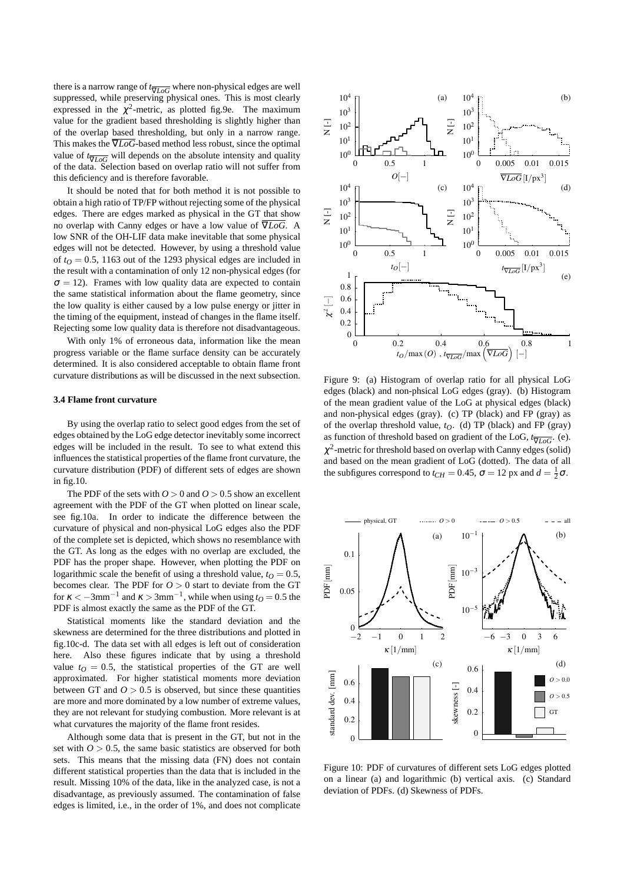there is a narrow range of *t*<sub>∇*LoG*</sub> where non-physical edges are well suppressed, while preserving physical ones. This is most clearly expressed in the  $\chi^2$ -metric, as plotted fig. 9e. The maximum value for the gradient based thresholding is slightly higher than of the overlap based thresholding, but only in a narrow range. This makes the  $\overline{V}$ *LoG*-based method less robust, since the optimal value of  $t_{\overline{V}LoG}$  will depends on the absolute intensity and quality of the data. Selection based on overlap ratio will not suffer from this deficiency and is therefore favorable.

It should be noted that for both method it is not possible to obtain a high ratio of TP/FP without rejecting some of the physical edges. There are edges marked as physical in the GT that show no overlap with Canny edges or have a low value of ∇*LoG*. A low SNR of the OH-LIF data make inevitable that some physical edges will not be detected. However, by using a threshold value of  $t<sub>O</sub> = 0.5$ , 1163 out of the 1293 physical edges are included in the result with a contamination of only 12 non-physical edges (for  $\sigma = 12$ ). Frames with low quality data are expected to contain the same statistical information about the flame geometry, since the low quality is either caused by a low pulse energy or jitter in the timing of the equipment, instead of changes in the flame itself. Rejecting some low quality data is therefore not disadvantageous.

With only 1% of erroneous data, information like the mean progress variable or the flame surface density can be accurately determined. It is also considered acceptable to obtain flame front curvature distributions as will be discussed in the next subsection.

#### **3.4 Flame front curvature**

By using the overlap ratio to select good edges from the set of edges obtained by the LoG edge detector inevitably some incorrect edges will be included in the result. To see to what extend this influences the statistical properties of the flame front curvature, the curvature distribution (PDF) of different sets of edges are shown in fig.10.

The PDF of the sets with  $0 > 0$  and  $0 > 0.5$  show an excellent agreement with the PDF of the GT when plotted on linear scale, see fig.10a. In order to indicate the difference between the curvature of physical and non-physical LoG edges also the PDF of the complete set is depicted, which shows no resemblance with the GT. As long as the edges with no overlap are excluded, the PDF has the proper shape. However, when plotting the PDF on logarithmic scale the benefit of using a threshold value,  $t<sub>O</sub> = 0.5$ , becomes clear. The PDF for  $O > 0$  start to deviate from the GT for  $\kappa < -3$ mm<sup>-1</sup> and  $\kappa > 3$ mm<sup>-1</sup>, while when using  $t_0 = 0.5$  the PDF is almost exactly the same as the PDF of the GT.

Statistical moments like the standard deviation and the skewness are determined for the three distributions and plotted in fig.10c-d. The data set with all edges is left out of consideration here. Also these figures indicate that by using a threshold value  $t<sub>O</sub> = 0.5$ , the statistical properties of the GT are well approximated. For higher statistical moments more deviation between GT and  $0 > 0.5$  is observed, but since these quantities are more and more dominated by a low number of extreme values, they are not relevant for studying combustion. More relevant is at what curvatures the majority of the flame front resides.

Although some data that is present in the GT, but not in the set with  $O > 0.5$ , the same basic statistics are observed for both sets. This means that the missing data (FN) does not contain different statistical properties than the data that is included in the result. Missing 10% of the data, like in the analyzed case, is not a disadvantage, as previously assumed. The contamination of false edges is limited, i.e., in the order of 1%, and does not complicate



Figure 9: (a) Histogram of overlap ratio for all physical LoG edges (black) and non-phsical LoG edges (gray). (b) Histogram of the mean gradient value of the LoG at physical edges (black) and non-physical edges (gray). (c) TP (black) and FP (gray) as of the overlap threshold value, *tO*. (d) TP (black) and FP (gray) as function of threshold based on gradient of the LoG,  $t_{\overline{V}IoG}$ . (e).  $\chi^2$ -metric for threshold based on overlap with Canny edges (solid) and based on the mean gradient of LoG (dotted). The data of all the subfigures correspond to  $t_{CH} = 0.45$ ,  $\sigma = 12$  px and  $d = \frac{1}{2}\sigma$ .



Figure 10: PDF of curvatures of different sets LoG edges plotted on a linear (a) and logarithmic (b) vertical axis. (c) Standard deviation of PDFs. (d) Skewness of PDFs.